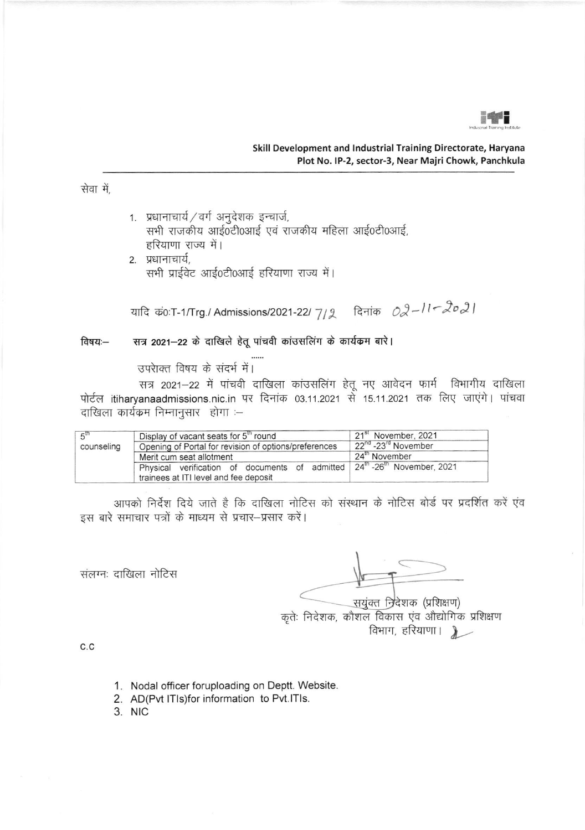

सेवा में.

1. प्रधानाचार्य / वर्ग अनुदेशक इन्चार्ज, सभी राजकीय आई0टी0आई एवं राजकीय महिला आई0टी0आई, हरियाणा राज्य में।

2. प्रधानाचार्य, सभी प्राईवेट आई0टी0आई हरियाणा राज्य में।

यादि कं0:T-1/Trg./ Admissions/2021-22/7/2 दिनांक  $O2-l1-\sqrt{2}\sigma2$ 

## सत्र 2021-22 के दाखिले हेतू पांचवी कांउसलिंग के कार्यक्रम बारे। विषयः—

उपराक्त विषय के संदर्भ में।

सत्र 2021-22 में पांचवी दाखिला कांउसलिंग हेतू नए आवेदन फार्म विभागीय दाखिला पोर्टल itiharyanaadmissions.nic.in पर दिनांक 03.11.2021 से 15.11.2021 तक लिए जाएंगे। पांचवा दाखिला कार्यक्रम निम्नानुसार होगा :-

| $5^{\text{th}}$ | Display of vacant seats for 5 <sup>th</sup> round                                               | 21 <sup>st</sup> November, 2021             |
|-----------------|-------------------------------------------------------------------------------------------------|---------------------------------------------|
| counseling      | Opening of Portal for revision of options/preferences                                           | 22 <sup>nd</sup> -23 <sup>rd</sup> November |
|                 | Merit cum seat allotment                                                                        | 24 <sup>th</sup> November                   |
|                 | Physical verification of documents of admitted 24 <sup>th</sup> -26 <sup>th</sup> November 2021 |                                             |
|                 | trainees at ITI level and fee deposit                                                           |                                             |

आपको निर्देश दिये जाते है कि दाखिला नोटिस को संस्थान के नोटिस बोर्ड पर प्रदर्शित करें एंव इस बारे समाचार पत्रों के माध्यम से प्रचार-प्रसार करें।

संलग्नः दाखिला नोटिस

सयुंक्त निर्देशक (प्रशिक्षण) कृतेः निदेशक, कौशल विकास एव औद्योगिक प्रशिक्षण विभाग, हरियाणा |  $\blacktriangleright$ 

 $C.C$ 

- 1. Nodal officer foruploading on Deptt. Website.
- 2. AD(Pvt ITIs)for information to Pvt.ITIs.

3. NIC